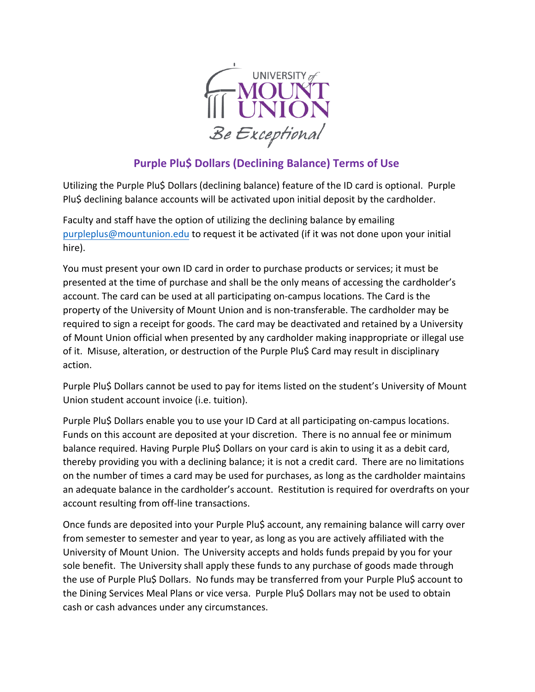

## **Purple Plu\$ Dollars (Declining Balance) Terms of Use**

Utilizing the Purple Plu\$ Dollars (declining balance) feature of the ID card is optional. Purple Plu\$ declining balance accounts will be activated upon initial deposit by the cardholder.

Faculty and staff have the option of utilizing the declining balance by emailing purpleplus@mountunion.edu to request it be activated (if it was not done upon your initial [hire\)](mailto:purpleplus@mountunion.edu).

You must present your own ID card in order to purchase products or services; it must be presented at the time of purchase and shall be the only means of accessing the cardholder's account. The card can be used at all participating on-campus locations. The Card is the property of the University of Mount Union and is non-transferable. The cardholder may be required to sign a receipt for goods. The card may be deactivated and retained by a University of Mount Union official when presented by any cardholder making inappropriate or illegal use of it. Misuse, alteration, or destruction of the Purple Plu\$ Card may result in disciplinary action.

Purple Plu\$ Dollars cannot be used to pay for items listed on the student's University of Mount Union student account invoice (i.e. tuition).

Purple Plu\$ Dollars enable you to use your ID Card at all participating on-campus locations. Funds on this account are deposited at your discretion. There is no annual fee or minimum balance required. Having Purple Plu\$ Dollars on your card is akin to using it as a debit card, thereby providing you with a declining balance; it is not a credit card. There are no limitations on the number of times a card may be used for purchases, as long as the cardholder maintains an adequate balance in the cardholder's account. Restitution is required for overdrafts on your account resulting from off-line transactions.

Once funds are deposited into your Purple Plu\$ account, any remaining balance will carry over from semester to semester and year to year, as long as you are actively affiliated with the University of Mount Union. The University accepts and holds funds prepaid by you for your sole benefit. The University shall apply these funds to any purchase of goods made through the use of Purple Plu\$ Dollars. No funds may be transferred from your Purple Plu\$ account to the Dining Services Meal Plans or vice versa. Purple Plu\$ Dollars may not be used to obtain cash or cash advances under any circumstances.